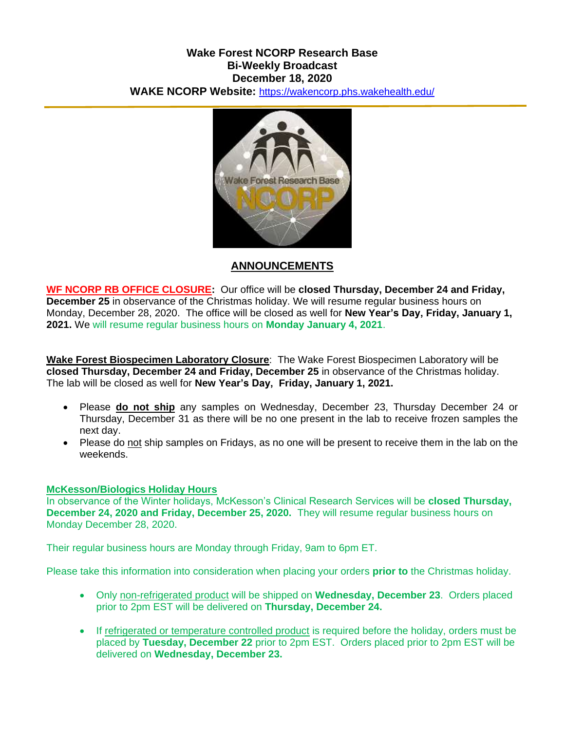## **Wake Forest NCORP Research Base Bi-Weekly Broadcast December 18, 2020 WAKE NCORP Website:** <https://wakencorp.phs.wakehealth.edu/>



# **ANNOUNCEMENTS**

**WF NCORP RB OFFICE CLOSURE:** Our office will be **closed Thursday, December 24 and Friday, December 25** in observance of the Christmas holiday. We will resume regular business hours on Monday, December 28, 2020. The office will be closed as well for **New Year's Day, Friday, January 1, 2021.** We will resume regular business hours on **Monday January 4, 2021**.

**Wake Forest Biospecimen Laboratory Closure**: The Wake Forest Biospecimen Laboratory will be **closed Thursday, December 24 and Friday, December 25** in observance of the Christmas holiday. The lab will be closed as well for **New Year's Day, Friday, January 1, 2021.**

- Please **do not ship** any samples on Wednesday, December 23, Thursday December 24 or Thursday, December 31 as there will be no one present in the lab to receive frozen samples the next day.
- Please do not ship samples on Fridays, as no one will be present to receive them in the lab on the weekends.

### **McKesson/Biologics Holiday Hours**

In observance of the Winter holidays, McKesson's Clinical Research Services will be **closed Thursday, December 24, 2020 and Friday, December 25, 2020.** They will resume regular business hours on Monday December 28, 2020.

Their regular business hours are Monday through Friday, 9am to 6pm ET.

Please take this information into consideration when placing your orders **prior to** the Christmas holiday.

- Only non-refrigerated product will be shipped on **Wednesday, December 23**. Orders placed prior to 2pm EST will be delivered on **Thursday, December 24.**
- If refrigerated or temperature controlled product is required before the holiday, orders must be placed by **Tuesday, December 22** prior to 2pm EST. Orders placed prior to 2pm EST will be delivered on **Wednesday, December 23.**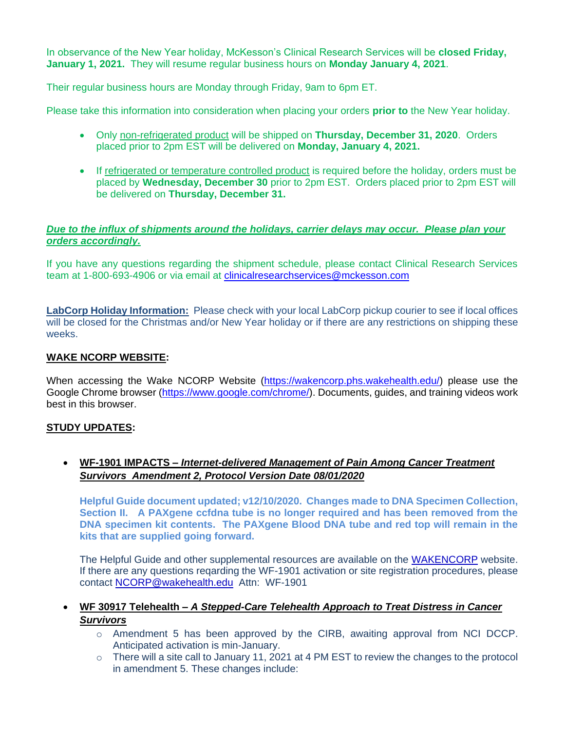In observance of the New Year holiday, McKesson's Clinical Research Services will be **closed Friday, January 1, 2021.** They will resume regular business hours on **Monday January 4, 2021**.

Their regular business hours are Monday through Friday, 9am to 6pm ET.

Please take this information into consideration when placing your orders **prior to** the New Year holiday.

- Only non-refrigerated product will be shipped on **Thursday, December 31, 2020**. Orders placed prior to 2pm EST will be delivered on **Monday, January 4, 2021.**
- If refrigerated or temperature controlled product is required before the holiday, orders must be placed by **Wednesday, December 30** prior to 2pm EST. Orders placed prior to 2pm EST will be delivered on **Thursday, December 31.**

### *Due to the influx of shipments around the holidays, carrier delays may occur. Please plan your orders accordingly.*

If you have any questions regarding the shipment schedule, please contact Clinical Research Services team at 1-800-693-4906 or via email at [clinicalresearchservices@mckesson.com](mailto:clinicalresearchservices@mckesson.com)

**LabCorp Holiday Information:** Please check with your local LabCorp pickup courier to see if local offices will be closed for the Christmas and/or New Year holiday or if there are any restrictions on shipping these weeks.

## **WAKE NCORP WEBSITE:**

When accessing the Wake NCORP Website [\(https://wakencorp.phs.wakehealth.edu/\)](https://wakencorp.phs.wakehealth.edu/) please use the Google Chrome browser [\(https://www.google.com/chrome/\)](https://www.google.com/chrome/). Documents, guides, and training videos work best in this browser.

### **STUDY UPDATES:**

## **WF-1901 IMPACTS –** *Internet-delivered Management of Pain Among Cancer Treatment Survivors Amendment 2, Protocol Version Date 08/01/2020*

**Helpful Guide document updated; v12/10/2020. Changes made to DNA Specimen Collection, Section II. A PAXgene ccfdna tube is no longer required and has been removed from the DNA specimen kit contents. The PAXgene Blood DNA tube and red top will remain in the kits that are supplied going forward.**

The Helpful Guide and other supplemental resources are available on the [WAKENCORP](mailto:https://wakencorp.phs.wakehealth.edu/) website. If there are any questions reqarding the WF-1901 activation or site registration procedures, please contact [NCORP@wakehealth.edu](mailto:NCORP@wakehealth.edu) Attn: WF-1901

### **WF 30917 Telehealth –** *A Stepped-Care Telehealth Approach to Treat Distress in Cancer Survivors*

- $\circ$  Amendment 5 has been approved by the CIRB, awaiting approval from NCI DCCP. Anticipated activation is min-January.
- $\circ$  There will a site call to January 11, 2021 at 4 PM EST to review the changes to the protocol in amendment 5. These changes include: